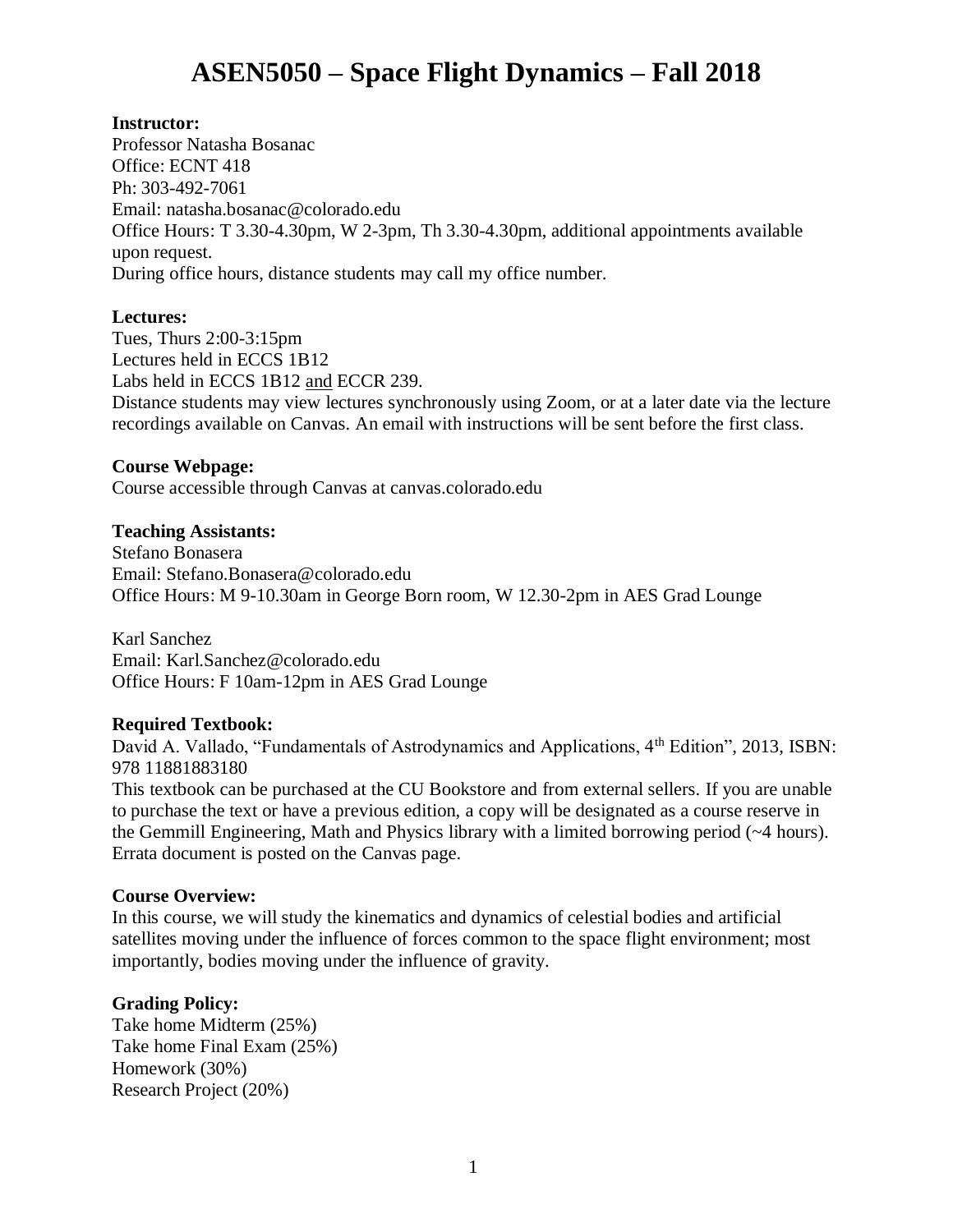# **ASEN5050 – Space Flight Dynamics – Fall 2018**

## **Instructor:**

Professor Natasha Bosanac Office: ECNT 418 Ph: 303-492-7061 Email: natasha.bosanac@colorado.edu Office Hours: T 3.30-4.30pm, W 2-3pm, Th 3.30-4.30pm, additional appointments available upon request. During office hours, distance students may call my office number.

## **Lectures:**

Tues, Thurs 2:00-3:15pm Lectures held in ECCS 1B12 Labs held in ECCS 1B12 and ECCR 239. Distance students may view lectures synchronously using Zoom, or at a later date via the lecture recordings available on Canvas. An email with instructions will be sent before the first class.

## **Course Webpage:**

Course accessible through Canvas at canvas.colorado.edu

## **Teaching Assistants:**

Stefano Bonasera Email: Stefano.Bonasera@colorado.edu Office Hours: M 9-10.30am in George Born room, W 12.30-2pm in AES Grad Lounge

Karl Sanchez Email: Karl.Sanchez@colorado.edu Office Hours: F 10am-12pm in AES Grad Lounge

# **Required Textbook:**

David A. Vallado, "Fundamentals of Astrodynamics and Applications, 4<sup>th</sup> Edition", 2013, ISBN: 978 11881883180

This textbook can be purchased at the CU Bookstore and from external sellers. If you are unable to purchase the text or have a previous edition, a copy will be designated as a course reserve in the Gemmill Engineering, Math and Physics library with a limited borrowing period (~4 hours). Errata document is posted on the Canvas page.

## **Course Overview:**

In this course, we will study the kinematics and dynamics of celestial bodies and artificial satellites moving under the influence of forces common to the space flight environment; most importantly, bodies moving under the influence of gravity.

# **Grading Policy:**

Take home Midterm (25%) Take home Final Exam (25%) Homework (30%) Research Project (20%)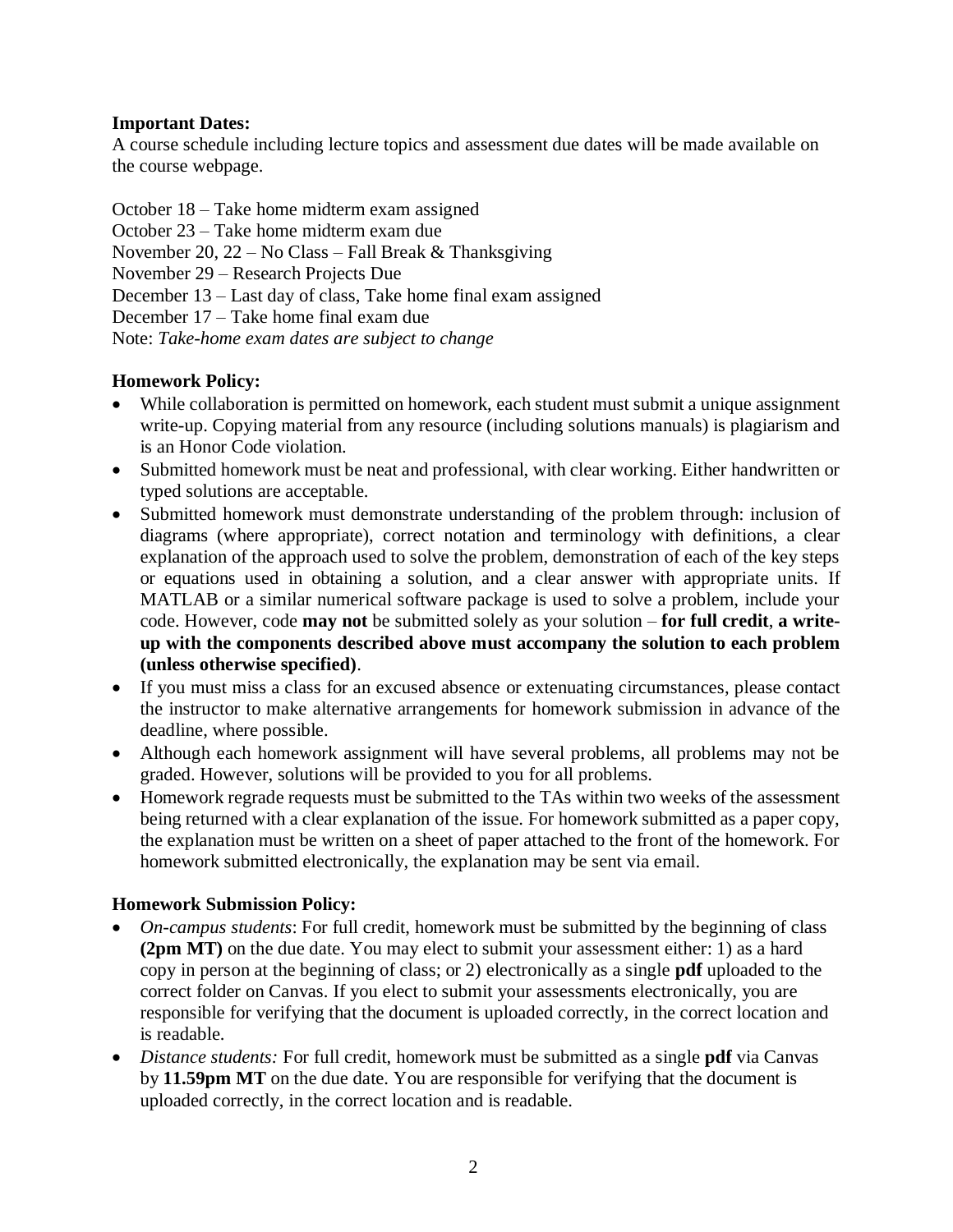# **Important Dates:**

A course schedule including lecture topics and assessment due dates will be made available on the course webpage.

October 18 – Take home midterm exam assigned

October 23 – Take home midterm exam due

November 20, 22 – No Class – Fall Break & Thanksgiving

November 29 – Research Projects Due

December 13 – Last day of class, Take home final exam assigned

December 17 – Take home final exam due

Note: *Take-home exam dates are subject to change*

# **Homework Policy:**

- While collaboration is permitted on homework, each student must submit a unique assignment write-up. Copying material from any resource (including solutions manuals) is plagiarism and is an Honor Code violation.
- Submitted homework must be neat and professional, with clear working. Either handwritten or typed solutions are acceptable.
- Submitted homework must demonstrate understanding of the problem through: inclusion of diagrams (where appropriate), correct notation and terminology with definitions, a clear explanation of the approach used to solve the problem, demonstration of each of the key steps or equations used in obtaining a solution, and a clear answer with appropriate units. If MATLAB or a similar numerical software package is used to solve a problem, include your code. However, code **may not** be submitted solely as your solution – **for full credit**, **a writeup with the components described above must accompany the solution to each problem (unless otherwise specified)**.
- If you must miss a class for an excused absence or extenuating circumstances, please contact the instructor to make alternative arrangements for homework submission in advance of the deadline, where possible.
- Although each homework assignment will have several problems, all problems may not be graded. However, solutions will be provided to you for all problems.
- Homework regrade requests must be submitted to the TAs within two weeks of the assessment being returned with a clear explanation of the issue. For homework submitted as a paper copy, the explanation must be written on a sheet of paper attached to the front of the homework. For homework submitted electronically, the explanation may be sent via email.

# **Homework Submission Policy:**

- *On-campus students*: For full credit, homework must be submitted by the beginning of class **(2pm MT)** on the due date. You may elect to submit your assessment either: 1) as a hard copy in person at the beginning of class; or 2) electronically as a single **pdf** uploaded to the correct folder on Canvas. If you elect to submit your assessments electronically, you are responsible for verifying that the document is uploaded correctly, in the correct location and is readable.
- *Distance students:* For full credit, homework must be submitted as a single **pdf** via Canvas by **11.59pm MT** on the due date. You are responsible for verifying that the document is uploaded correctly, in the correct location and is readable.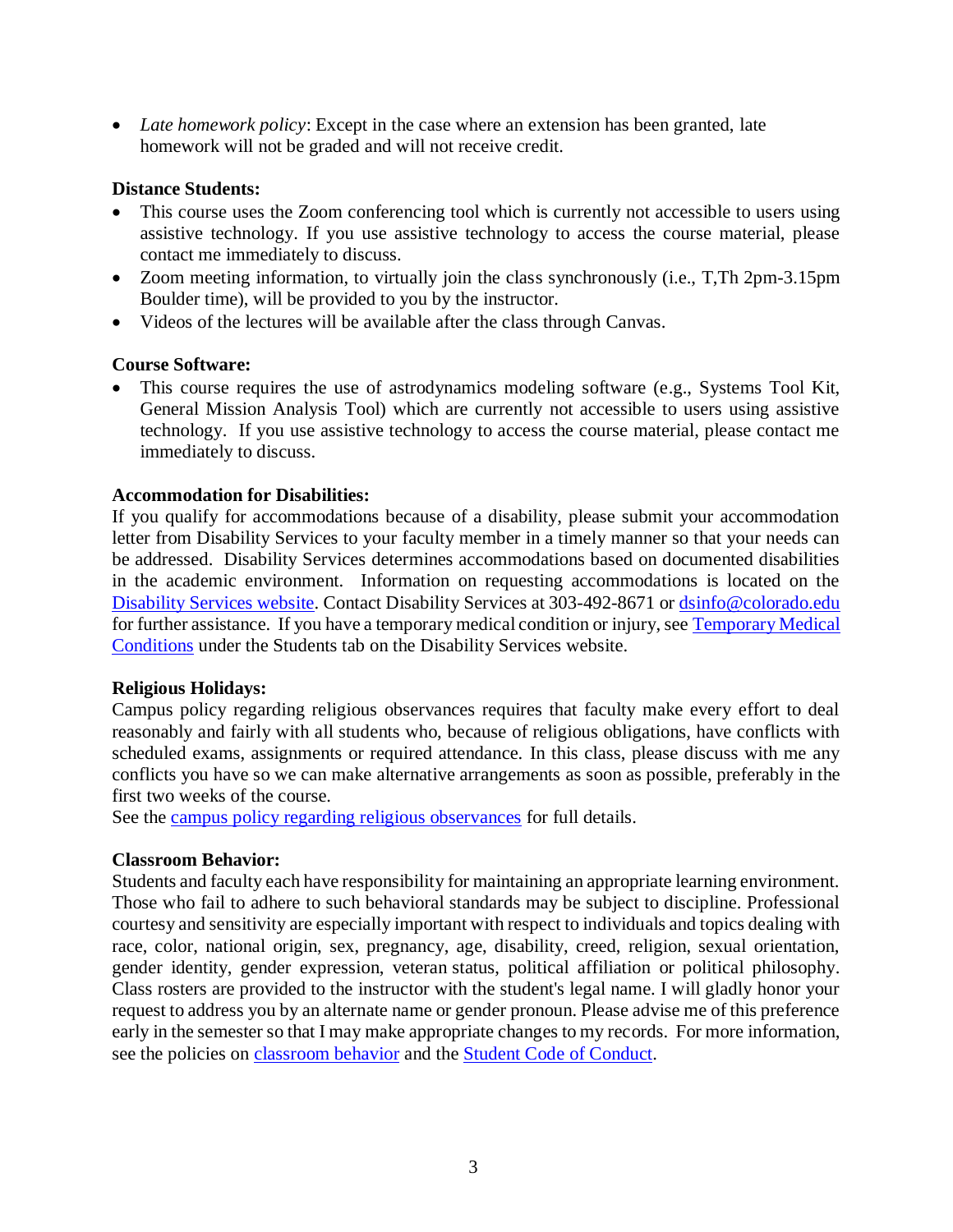• *Late homework policy*: Except in the case where an extension has been granted, late homework will not be graded and will not receive credit.

## **Distance Students:**

- This course uses the Zoom conferencing tool which is currently not accessible to users using assistive technology. If you use assistive technology to access the course material, please contact me immediately to discuss.
- Zoom meeting information, to virtually join the class synchronously (i.e., T,Th 2pm-3.15pm Boulder time), will be provided to you by the instructor.
- Videos of the lectures will be available after the class through Canvas.

## **Course Software:**

• This course requires the use of astrodynamics modeling software (e.g., Systems Tool Kit, General Mission Analysis Tool) which are currently not accessible to users using assistive technology. If you use assistive technology to access the course material, please contact me immediately to discuss.

## **Accommodation for Disabilities:**

If you qualify for accommodations because of a disability, please submit your accommodation letter from Disability Services to your faculty member in a timely manner so that your needs can be addressed. Disability Services determines accommodations based on documented disabilities in the academic environment. Information on requesting accommodations is located on the [Disability Services website.](http://www.colorado.edu/disabilityservices/students) Contact Disability Services at 303-492-8671 or [dsinfo@colorado.edu](mailto:dsinfo@colorado.edu) for further assistance. If you have a temporary medical condition or injury, see [Temporary Medical](http://www.colorado.edu/disabilityservices/students/temporary-medical-conditions)  [Conditions](http://www.colorado.edu/disabilityservices/students/temporary-medical-conditions) under the Students tab on the Disability Services website.

## **Religious Holidays:**

Campus policy regarding religious observances requires that faculty make every effort to deal reasonably and fairly with all students who, because of religious obligations, have conflicts with scheduled exams, assignments or required attendance. In this class, please discuss with me any conflicts you have so we can make alternative arrangements as soon as possible, preferably in the first two weeks of the course.

See the [campus policy regarding religious observances](http://www.colorado.edu/policies/observance-religious-holidays-and-absences-classes-andor-exams) for full details.

## **Classroom Behavior:**

Students and faculty each have responsibility for maintaining an appropriate learning environment. Those who fail to adhere to such behavioral standards may be subject to discipline. Professional courtesy and sensitivity are especially important with respect to individuals and topics dealing with race, color, national origin, sex, pregnancy, age, disability, creed, religion, sexual orientation, gender identity, gender expression, veteran status, political affiliation or political philosophy. Class rosters are provided to the instructor with the student's legal name. I will gladly honor your request to address you by an alternate name or gender pronoun. Please advise me of this preference early in the semester so that I may make appropriate changes to my records. For more information, see the policies on [classroom](http://www.colorado.edu/policies/student-classroom-and-course-related-behavior) behavior and the [Student Code of Conduct.](http://www.colorado.edu/osccr/)